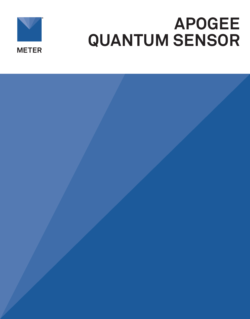

# **APOGEE QUANTUM SENSOR**

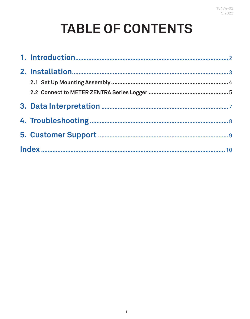# **TABLE OF CONTENTS**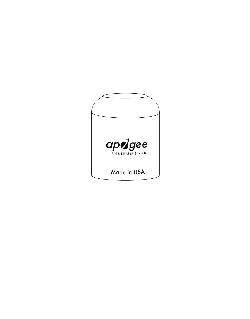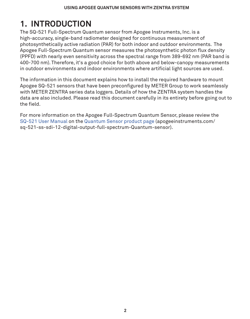# <span id="page-3-0"></span>**1. INTRODUCTION**

The SQ-521 Full-Spectrum Quantum sensor from Apogee Instruments, Inc. is a high-accuracy, single-band radiometer designed for continuous measurement of photosynthetically active radiation (PAR) for both indoor and outdoor environments. The Apogee Full-Spectrum Quantum sensor measures the photosynthetic photon flux density (PPFD) with nearly even sensitivity across the spectral range from 389-692 nm (PAR band is 400-700 nm). Therefore, it's a good choice for both above and below-canopy measurements in outdoor environments and indoor environments where artificial light sources are used.

The information in this document explains how to install the required hardware to mount Apogee SQ-521 sensors that have been preconfigured by METER Group to work seamlessly with METER ZENTRA series data loggers. Details of how the ZENTRA system handles the data are also included. Please read this document carefully in its entirety before going out to the field.

For more information on the Apogee Full-Spectrum Quantum Sensor, please review the [SQ-521 User Manual](https://www.apogeeinstruments.com/content/SQ-521-manual.pdf) on the [Quantum Sensor product page](http://apogeeinstruments.com/sq-521-ss-sdi-12-digital-output-full-spectrum-Quantum-sensor) (apogeeinstruments.com/ sq-521-ss-sdi-12-digital-output-full-spectrum-Quantum-sensor).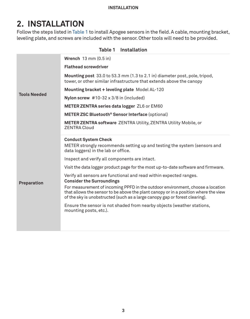#### <span id="page-4-1"></span>**Installation**

# <span id="page-4-0"></span>**2. INSTALLATION**

Follow the steps listed in [Table 1](#page-4-1) to install Apogee sensors in the field. A cable, mounting bracket, leveling plate, and screws are included with the sensor. Other tools will need to be provided.

|                     | raple i installation                                                                                                                                                                                                                                 |
|---------------------|------------------------------------------------------------------------------------------------------------------------------------------------------------------------------------------------------------------------------------------------------|
|                     | Wrench $13 \text{ mm} (0.5 \text{ in})$<br><b>Flathead screwdriver</b>                                                                                                                                                                               |
|                     | Mounting post 33.0 to 53.3 mm (1.3 to 2.1 in) diameter post, pole, tripod,<br>tower, or other similar infrastructure that extends above the canopy                                                                                                   |
|                     | Mounting bracket + leveling plate Model AL-120                                                                                                                                                                                                       |
| <b>Tools Needed</b> | Nylon screw $#10-32 \times 3/8$ in (included)                                                                                                                                                                                                        |
|                     | METER ZENTRA series data logger ZL6 or EM60                                                                                                                                                                                                          |
|                     | METER ZSC Bluetooth <sup>®</sup> Sensor Interface (optional)                                                                                                                                                                                         |
|                     | <b>METER ZENTRA software ZENTRA Utility, ZENTRA Utility Mobile, or</b><br><b>ZENTRA Cloud</b>                                                                                                                                                        |
|                     | <b>Conduct System Check</b>                                                                                                                                                                                                                          |
|                     | METER strongly recommends setting up and testing the system (sensors and<br>data loggers) in the lab or office.                                                                                                                                      |
|                     | Inspect and verify all components are intact.                                                                                                                                                                                                        |
|                     | Visit the data logger product page for the most up-to-date software and firmware.                                                                                                                                                                    |
| Preparation         | Verify all sensors are functional and read within expected ranges.<br><b>Consider the Surroundings</b>                                                                                                                                               |
|                     | For measurement of incoming PPFD in the outdoor environment, choose a location<br>that allows the sensor to be above the plant canopy or in a position where the view<br>of the sky is unobstructed (such as a large canopy gap or forest clearing). |
|                     | Ensure the sensor is not shaded from nearby objects (weather stations,<br>mounting posts, etc.).                                                                                                                                                     |
|                     |                                                                                                                                                                                                                                                      |
|                     |                                                                                                                                                                                                                                                      |

#### **Table 1 Installation**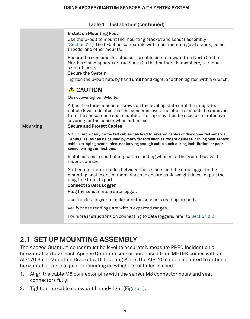<span id="page-5-0"></span>

|                 | Table 1 Installation (continued)                                                                                                                                                                                                                                                                                              |
|-----------------|-------------------------------------------------------------------------------------------------------------------------------------------------------------------------------------------------------------------------------------------------------------------------------------------------------------------------------|
|                 | Install on Mounting Post<br>Use the U-bolt to mount the mounting bracket and sensor assembly<br>(Section 2.1). The U-bolt is compatible with most meterological stands, poles,<br>tripods, and other mounts.                                                                                                                  |
|                 | Ensure the sensor is oriented so the cable points toward true North (in the<br>Northern hemisphere) or true South (in the Southern hemisphere) to reduce<br>azimuth error.<br><b>Secure the System</b><br>Tighten the U-bolt nuts by hand until hand-tight, and then tighten with a wrench.                                   |
|                 | <b>A</b> CAUTION                                                                                                                                                                                                                                                                                                              |
|                 | Do not over tighten U-bolts.                                                                                                                                                                                                                                                                                                  |
| <b>Mounting</b> | Adjust the three machine screws on the leveling plate until the integrated<br>bubble level indicates that the sensor is level. The blue cap should be removed<br>from the sensor once it is mounted. The cap may then be used as a protective<br>covering for the sensor when not in use.<br><b>Secure and Protect Cables</b> |
|                 | NOTE: Improperly protected cables can lead to severed cables or disconnected sensors.<br>Cabling issues can be caused by many factors such as rodent damage, driving over sensor<br>cables, tripping over cables, not leaving enough cable slack during installation, or poor<br>sensor wiring connections.                   |
|                 | Install cables in conduit or plastic cladding when near the ground to avoid<br>rodent damage.                                                                                                                                                                                                                                 |
|                 | Gather and secure cables between the sensors and the data logger to the<br>mounting post in one or more places to ensure cable weight does not pull the<br>plug free from its port.<br><b>Connect to Data Logger</b><br>Plug the sensor into a data logger.                                                                   |
|                 | Use the data logger to make sure the sensor is reading properly.                                                                                                                                                                                                                                                              |
|                 | Verify these readings are within expected ranges.                                                                                                                                                                                                                                                                             |
|                 | For more instructions on connecting to data loggers, refer to Section 2.2.                                                                                                                                                                                                                                                    |
|                 |                                                                                                                                                                                                                                                                                                                               |

### <span id="page-5-1"></span>**2.1 SET UP MOUNTING ASSEMBLY**

The Apogee Quantum sensor must be level to accurately measure PPFD incident on a horizontal surface. Each Apogee Quantum sensor purchased from METER comes with an AL-120 Solar Mounting Bracket with Leveling Plate. The AL-120 can be mounted to either a horizontal or vertical post, depending on which set of holes is used.

- 1. Align the cable M8 connector pins with the sensor M8 connector holes and seat connectors fully.
- 2. Tighten the cable screw until hand-tight ([Figure 1\)](#page-6-2).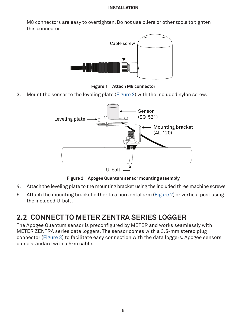#### **Installation**

<span id="page-6-0"></span>M8 connectors are easy to overtighten. Do not use pliers or other tools to tighten this connector.



<span id="page-6-2"></span>**Figure 1 Attach M8 connector**

3. Mount the sensor to the leveling plate [\(Figure 2\)](#page-6-3) with the included nylon screw.



<span id="page-6-3"></span>**Figure 2 Apogee Quantum sensor mounting assembly**

- 4. Attach the leveling plate to the mounting bracket using the included three machine screws.
- 5. Attach the mounting bracket either to a horizontal arm [\(Figure 2](#page-6-3)) or vertical post using the included U-bolt.

### <span id="page-6-1"></span>**2.2 CONNECT TO METER ZENTRA SERIES LOGGER**

The Apogee Quantum sensor is preconfigured by METER and works seamlessly with METER ZENTRA series data loggers. The sensor comes with a 3.5-mm stereo plug connector ([Figure 3\)](#page-7-0) to facilitate easy connection with the data loggers. Apogee sensors come standard with a 5-m cable.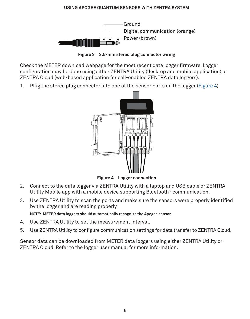#### **USING APOGEE QUANTUM SENSORS WITH ZENTRA SYSTEM**

<span id="page-7-2"></span>

**Figure 3 3.5-mm stereo plug connector wiring**

Check the METER download webpage for the most recent data logger firmware. Logger configuration may be done using either ZENTRA Utility (desktop and mobile application) or ZENTRA Cloud (web-based application for cell-enabled ZENTRA data loggers).

1. Plug the stereo plug connector into one of the sensor ports on the logger [\(Figure 4\)](#page-7-1).

<span id="page-7-1"></span><span id="page-7-0"></span>

**Figure 4 Logger connection**

- 2. Connect to the data logger via ZENTRA Utility with a laptop and USB cable or ZENTRA Utility Mobile app with a mobile device supporting Bluetooth® communication.
- 3. Use ZENTRA Utility to scan the ports and make sure the sensors were properly identified by the logger and are reading properly. **NOTE: METER data loggers should automatically recognize the Apogee sensor.**
- 4. Use ZENTRA Utility to set the measurement interval.
- 5. Use ZENTRA Utility to configure communication settings for data transfer to ZENTRA Cloud.

Sensor data can be downloaded from METER data loggers using either ZENTRA Utility or ZENTRA Cloud. Refer to the logger user manual for more information.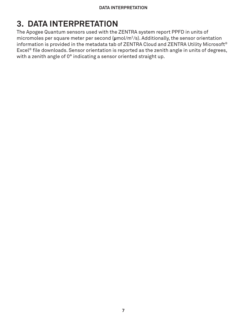# <span id="page-8-0"></span>**3. DATA INTERPRETATION**

The Apogee Quantum sensors used with the ZENTRA system report PPFD in units of micromoles per square meter per second (**μ**mol/m2/s). Additionally, the sensor orientation information is provided in the metadata tab of ZENTRA Cloud and ZENTRA Utility Microsoft® Excel<sup>®</sup> file downloads. Sensor orientation is reported as the zenith angle in units of degrees, with a zenith angle of 0° indicating a sensor oriented straight up.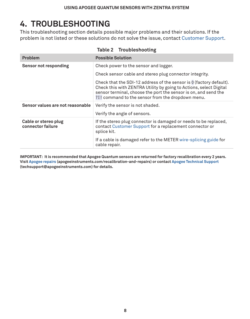# <span id="page-9-0"></span>**4. TROUBLESHOOTING**

This troubleshooting section details possible major problems and their solutions. If the problem is not listed or these solutions do not solve the issue, contact [Customer Support](#page-10-1).

| Problem                                   | <b>Possible Solution</b>                                                                                                                                                                                                                                          |
|-------------------------------------------|-------------------------------------------------------------------------------------------------------------------------------------------------------------------------------------------------------------------------------------------------------------------|
| Sensor not responding                     | Check power to the sensor and logger.                                                                                                                                                                                                                             |
|                                           | Check sensor cable and stereo plug connector integrity.                                                                                                                                                                                                           |
|                                           | Check that the SDI-12 address of the sensor is 0 (factory default).<br>Check this with ZENTRA Utility by going to Actions, select Digital<br>sensor terminal, choose the port the sensor is on, and send the<br>?I! command to the sensor from the dropdown menu. |
| Sensor values are not reasonable          | Verify the sensor is not shaded.                                                                                                                                                                                                                                  |
|                                           | Verify the angle of sensors.                                                                                                                                                                                                                                      |
| Cable or stereo plug<br>connector failure | If the stereo plug connector is damaged or needs to be replaced,<br>contact Customer Support for a replacement connector or<br>splice kit.                                                                                                                        |
|                                           | If a cable is damaged refer to the METER wire-splicing guide for<br>cable repair.                                                                                                                                                                                 |

| Table 2 |  |  | Troubleshooting |
|---------|--|--|-----------------|
|---------|--|--|-----------------|

**IMPORTANT: It is recommended that Apogee Quantum sensors are returned for factory recalibration every 2 years. Visit [Apogee repairs](https://www.apogeeinstruments.com/recalibration-and-repairs/) (apogeeinstruments.com/recalibration-and-repairs) or contact [Apogee Technical Support](http://techsupport@apogeeinstruments.com) (techsupport@apogeeinstruments.com) for details.**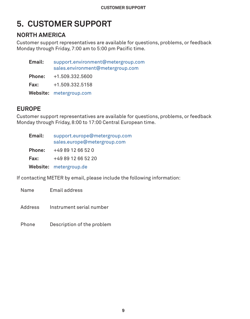# <span id="page-10-1"></span><span id="page-10-0"></span>**5. CUSTOMER SUPPORT**

### **NORTH AMERICA**

Customer support representatives are available for questions, problems, or feedback Monday through Friday, 7:00 am to 5:00 pm Pacific time.

| Email:        | support.environment@metergroup.com<br>sales.environment@metergroup.com |
|---------------|------------------------------------------------------------------------|
| <b>Phone:</b> | +1.509.332.5600                                                        |
| Fax:          | +1.509.332.5158                                                        |
|               | Website: metergroup.com                                                |

### **EUROPE**

Customer support representatives are available for questions, problems, or feedback Monday through Friday, 8:00 to 17:00 Central European time.

| Email: | support.europe@metergroup.com<br>sales.europe@metergroup.com |
|--------|--------------------------------------------------------------|
| Phone: | +49 89 12 66 52 0                                            |
| Fax:   | +49 89 12 66 52 20                                           |
|        | Website: metergroup.de                                       |

If contacting METER by email, please include the following information:

Name Email address

Address Instrument serial number

Phone Description of the problem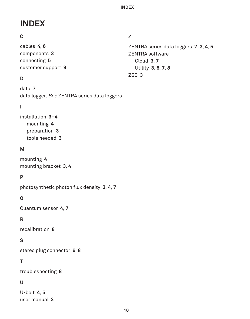# <span id="page-11-0"></span>**INDEX**

### **C**

cables **[4](#page-5-0)**, **[6](#page-7-2)** components **[3](#page-4-0)** connecting **[5](#page-6-0)** customer support **[9](#page-10-0)**

### **D**

data **[7](#page-8-0)** data logger. See ZENTRA series data loggers

### **I**

installation **[3](#page-4-0)[–4](#page-5-0)** mounting **[4](#page-5-0)** preparation **[3](#page-4-0)** tools needed **[3](#page-4-0)**

### **M**

mounting **[4](#page-5-0)** mounting bracket **[3](#page-4-0)**, **[4](#page-5-0)**

### **P**

photosynthetic photon flux density **[3](#page-4-0)**, **[4](#page-5-0)**, **[7](#page-8-0)**

### **Q**

Quantum sensor **[4](#page-5-0)**, **[7](#page-8-0)**

### **R**

recalibration **[8](#page-9-0)**

### **S**

stereo plug connector **[6](#page-7-2)**, **[8](#page-9-0)**

### **T**

troubleshooting **[8](#page-9-0)**

### **U**

U-bolt **[4](#page-5-0)**, **[5](#page-6-0)** user manual **[2](#page-3-0)**

### **Z**

ZENTRA series data loggers **[2](#page-3-0)**, **[3](#page-4-0)**, **[4](#page-5-0)**, **[5](#page-6-0)** ZENTRA software Cloud **[3](#page-4-0)**, **[7](#page-8-0)** Utility **[3](#page-4-0)**, **[6](#page-7-2)**, **[7](#page-8-0)**, **[8](#page-9-0)** ZSC **[3](#page-4-0)**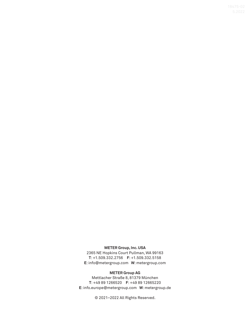#### **METER Group, Inc. USA**

2365 NE Hopkins Court Pullman, WA 99163 **T**: +1.509.332.2756 **F**: +1.509.332.5158 **E**: info@metergroup.com **W**: metergroup.com

#### **METER Group AG**

Mettlacher Straße 8, 81379 München **T**: +49 89 1266520 **F**: +49 89 12665220 **E**: info.europe@metergroup.com **W**: metergroup.de

© 2021–2022 All Rights Reserved.